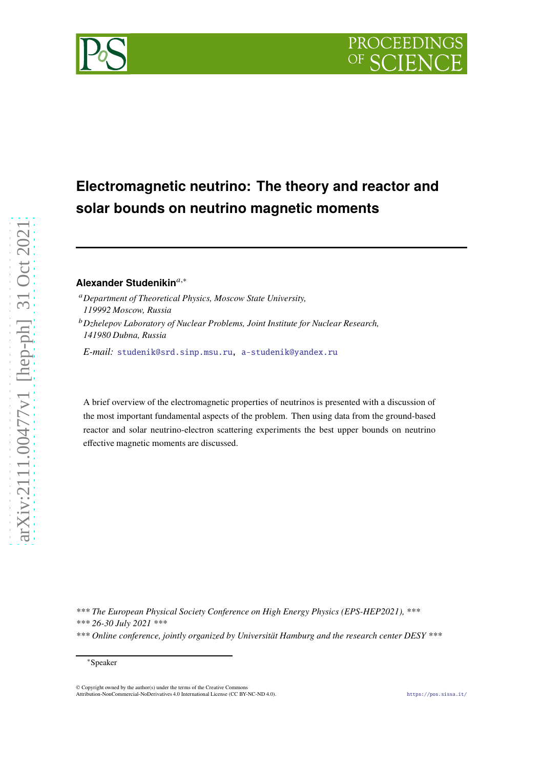# **Electromagnetic neutrino: The theory and reactor and solar bounds on neutrino magnetic moments**

## **Alexander Studenikin**<sup>a,\*</sup>

- <sup>𝑎</sup>*Department of Theoretical Physics, Moscow State University, 119992 Moscow, Russia*
- <sup>𝑏</sup>*Dzhelepov Laboratory of Nuclear Problems, Joint Institute for Nuclear Research, 141980 Dubna, Russia*

*E-mail:* [studenik@srd.sinp.msu.ru,](mailto:studenik@srd.sinp.msu.ru) [a-studenik@yandex.ru](mailto:a-studenik@yandex.ru)

A brief overview of the electromagnetic properties of neutrinos is presented with a discussion of the most important fundamental aspects of the problem. Then using data from the ground-based reactor and solar neutrino-electron scattering experiments the best upper bounds on neutrino effective magnetic moments are discussed.

*\*\*\* The European Physical Society Conference on High Energy Physics (EPS-HEP2021), \*\*\**

*\*\*\* 26-30 July 2021 \*\*\**



*<sup>\*\*\*</sup> Online conference, jointly organized by Universität Hamburg and the research center DESY \*\*\**

<sup>∗</sup>Speaker

<sup>©</sup> Copyright owned by the author(s) under the terms of the Creative Commons Attribution-NonCommercial-NoDerivatives 4.0 International License (CC BY-NC-ND 4.0). <https://pos.sissa.it/>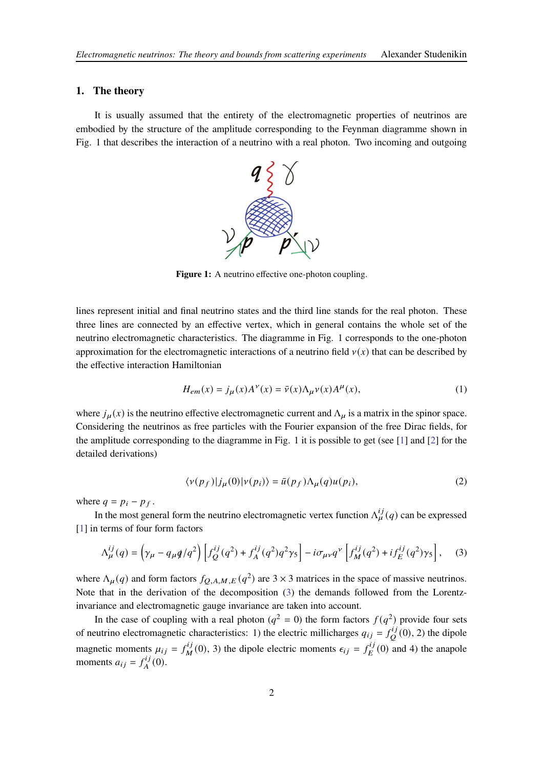#### **1. The theory**

It is usually assumed that the entirety of the electromagnetic properties of neutrinos are embodied by the structure of the amplitude corresponding to the Feynman diagramme shown in Fig. 1 that describes the interaction of a neutrino with a real photon. Two incoming and outgoing



Figure 1: A neutrino effective one-photon coupling.

lines represent initial and final neutrino states and the third line stands for the real photon. These three lines are connected by an effective vertex, which in general contains the whole set of the neutrino electromagnetic characteristics. The diagramme in Fig. 1 corresponds to the one-photon approximation for the electromagnetic interactions of a neutrino field  $v(x)$  that can be described by the effective interaction Hamiltonian

$$
H_{em}(x) = j_{\mu}(x)A^{\nu}(x) = \bar{\nu}(x)\Lambda_{\mu}\nu(x)A^{\mu}(x),\tag{1}
$$

where  $j_{\mu}(x)$  is the neutrino effective electromagnetic current and  $\Lambda_{\mu}$  is a matrix in the spinor space. Considering the neutrinos as free particles with the Fourier expansion of the free Dirac fields, for the amplitude corresponding to the diagramme in Fig. 1 it is possible to get (see [\[1\]](#page-5-0) and [\[2](#page-5-1)] for the detailed derivations)

$$
\langle v(p_f)|j_\mu(0)|v(p_i)\rangle = \bar{u}(p_f)\Lambda_\mu(q)u(p_i),\tag{2}
$$

where  $q = p_i - p_f$ .

In the most general form the neutrino electromagnetic vertex function  $\Lambda_{\mu}^{ij}(q)$  can be expressed [\[1](#page-5-0)] in terms of four form factors

<span id="page-1-0"></span>
$$
\Lambda_{\mu}^{ij}(q) = \left(\gamma_{\mu} - q_{\mu}q/q^2\right) \left[f_Q^{ij}(q^2) + f_A^{ij}(q^2)q^2\gamma_5\right] - i\sigma_{\mu\nu}q^{\nu} \left[f_M^{ij}(q^2) + if_E^{ij}(q^2)\gamma_5\right],\tag{3}
$$

where  $\Lambda_{\mu}(q)$  and form factors  $f_{Q,A,M,E}(q^2)$  are 3 × 3 matrices in the space of massive neutrinos. Note that in the derivation of the decomposition [\(3\)](#page-1-0) the demands followed from the Lorentzinvariance and electromagnetic gauge invariance are taken into account.

In the case of coupling with a real photon ( $q^2 = 0$ ) the form factors  $f(q^2)$  provide four sets of neutrino electromagnetic characteristics: 1) the electric millicharges  $q_{ij} = f_Q^{ij}$  $Q^{i,j}(0)$ , 2) the dipole magnetic moments  $\mu_{ij} = f_M^{ij}$  $\epsilon_{ij}(0)$ , 3) the dipole electric moments  $\epsilon_{ij} = f_E^{ij}$  $E^{ij}(0)$  and 4) the anapole moments  $a_{ij} = f_A^{ij}$  $_{A}^{iJ}(0).$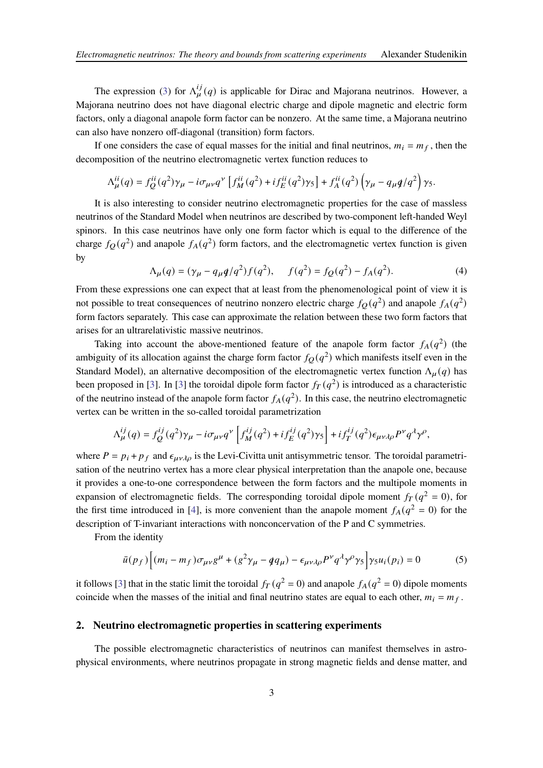The expression [\(3\)](#page-1-0) for  $\Lambda_{\mu}^{ij}(q)$  is applicable for Dirac and Majorana neutrinos. However, a Majorana neutrino does not have diagonal electric charge and dipole magnetic and electric form factors, only a diagonal anapole form factor can be nonzero. At the same time, a Majorana neutrino can also have nonzero off-diagonal (transition) form factors.

If one considers the case of equal masses for the initial and final neutrinos,  $m_i = m_f$ , then the decomposition of the neutrino electromagnetic vertex function reduces to

$$
\Lambda_{\mu}^{ii}(q) = f_Q^{ii}(q^2)\gamma_{\mu} - i\sigma_{\mu\nu}q^{\nu} \left[ f_M^{ii}(q^2) + i f_E^{ii}(q^2)\gamma_5 \right] + f_A^{ii}(q^2) \left( \gamma_{\mu} - q_{\mu}q/q^2 \right) \gamma_5.
$$

It is also interesting to consider neutrino electromagnetic properties for the case of massless neutrinos of the Standard Model when neutrinos are described by two-component left-handed Weyl spinors. In this case neutrinos have only one form factor which is equal to the difference of the charge  $f_Q(q^2)$  and anapole  $f_A(q^2)$  form factors, and the electromagnetic vertex function is given by

$$
\Lambda_{\mu}(q) = (\gamma_{\mu} - q_{\mu}q/q^2) f(q^2), \quad f(q^2) = f_Q(q^2) - f_A(q^2). \tag{4}
$$

From these expressions one can expect that at least from the phenomenological point of view it is not possible to treat consequences of neutrino nonzero electric charge  $f_Q(q^2)$  and anapole  $f_A(q^2)$ form factors separately. This case can approximate the relation between these two form factors that arises for an ultrarelativistic massive neutrinos.

Taking into account the above-mentioned feature of the anapole form factor  $f_A(q^2)$  (the ambiguity of its allocation against the charge form factor  $f_Q(q^2)$  which manifests itself even in the Standard Model), an alternative decomposition of the electromagnetic vertex function  $\Lambda_{\mu}(q)$  has been proposed in [\[3\]](#page-5-2). In [3] the toroidal dipole form factor  $f_T(q^2)$  is introduced as a characteristic of the neutrino instead of the anapole form factor  $f_A(q^2)$ . In this case, the neutrino electromagnetic vertex can be written in the so-called toroidal parametrization

$$
\Lambda_{\mu}^{ij}(q) = f_Q^{ij}(q^2)\gamma_{\mu} - i\sigma_{\mu\nu}q^{\nu}\left[f_M^{ij}(q^2) + if_E^{ij}(q^2)\gamma_5\right] + if_T^{ij}(q^2)\epsilon_{\mu\nu\lambda\rho}P^{\nu}q^{\lambda}\gamma^{\rho},
$$

where  $P = p_i + p_f$  and  $\epsilon_{\mu\nu\lambda\rho}$  is the Levi-Civitta unit antisymmetric tensor. The toroidal parametrisation of the neutrino vertex has a more clear physical interpretation than the anapole one, because it provides a one-to-one correspondence between the form factors and the multipole moments in expansion of electromagnetic fields. The corresponding toroidal dipole moment  $f_T(q^2 = 0)$ , for the first time introduced in [\[4\]](#page-5-3), is more convenient than the anapole moment  $f_A(q^2 = 0)$  for the description of T-invariant interactions with nonconcervation of the P and C symmetries.

From the identity

$$
\bar{u}(p_f)\Big[(m_i - m_f)\sigma_{\mu\nu}g^{\mu} + (g^2\gamma_{\mu} - q\gamma_{\mu}) - \epsilon_{\mu\nu\lambda\rho}P^{\nu}q^{\lambda}\gamma^{\rho}\gamma_5\Big]\gamma_5u_i(p_i) = 0 \tag{5}
$$

it follows [\[3\]](#page-5-2) that in the static limit the toroidal  $f_T(q^2 = 0)$  and anapole  $f_A(q^2 = 0)$  dipole moments coincide when the masses of the initial and final neutrino states are equal to each other,  $m_i = m_f$ .

### **2. Neutrino electromagnetic properties in scattering experiments**

The possible electromagnetic characteristics of neutrinos can manifest themselves in astrophysical environments, where neutrinos propagate in strong magnetic fields and dense matter, and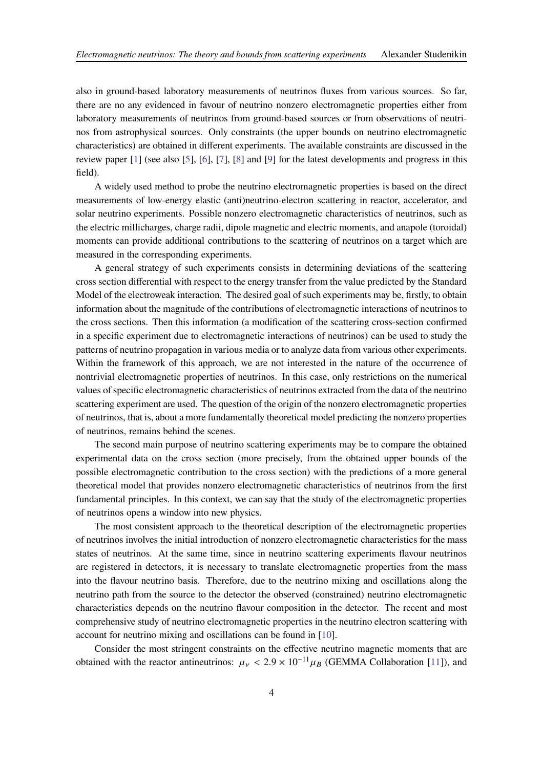also in ground-based laboratory measurements of neutrinos fluxes from various sources. So far, there are no any evidenced in favour of neutrino nonzero electromagnetic properties either from laboratory measurements of neutrinos from ground-based sources or from observations of neutrinos from astrophysical sources. Only constraints (the upper bounds on neutrino electromagnetic characteristics) are obtained in different experiments. The available constraints are discussed in the review paper [\[1\]](#page-5-0) (see also [\[5\]](#page-5-4), [\[6](#page-5-5)], [\[7\]](#page-5-6), [\[8](#page-5-7)] and [\[9\]](#page-5-8) for the latest developments and progress in this field).

A widely used method to probe the neutrino electromagnetic properties is based on the direct measurements of low-energy elastic (anti)neutrino-electron scattering in reactor, accelerator, and solar neutrino experiments. Possible nonzero electromagnetic characteristics of neutrinos, such as the electric millicharges, charge radii, dipole magnetic and electric moments, and anapole (toroidal) moments can provide additional contributions to the scattering of neutrinos on a target which are measured in the corresponding experiments.

A general strategy of such experiments consists in determining deviations of the scattering cross section differential with respect to the energy transfer from the value predicted by the Standard Model of the electroweak interaction. The desired goal of such experiments may be, firstly, to obtain information about the magnitude of the contributions of electromagnetic interactions of neutrinos to the cross sections. Then this information (a modification of the scattering cross-section confirmed in a specific experiment due to electromagnetic interactions of neutrinos) can be used to study the patterns of neutrino propagation in various media or to analyze data from various other experiments. Within the framework of this approach, we are not interested in the nature of the occurrence of nontrivial electromagnetic properties of neutrinos. In this case, only restrictions on the numerical values of specific electromagnetic characteristics of neutrinos extracted from the data of the neutrino scattering experiment are used. The question of the origin of the nonzero electromagnetic properties of neutrinos, that is, about a more fundamentally theoretical model predicting the nonzero properties of neutrinos, remains behind the scenes.

The second main purpose of neutrino scattering experiments may be to compare the obtained experimental data on the cross section (more precisely, from the obtained upper bounds of the possible electromagnetic contribution to the cross section) with the predictions of a more general theoretical model that provides nonzero electromagnetic characteristics of neutrinos from the first fundamental principles. In this context, we can say that the study of the electromagnetic properties of neutrinos opens a window into new physics.

The most consistent approach to the theoretical description of the electromagnetic properties of neutrinos involves the initial introduction of nonzero electromagnetic characteristics for the mass states of neutrinos. At the same time, since in neutrino scattering experiments flavour neutrinos are registered in detectors, it is necessary to translate electromagnetic properties from the mass into the flavour neutrino basis. Therefore, due to the neutrino mixing and oscillations along the neutrino path from the source to the detector the observed (constrained) neutrino electromagnetic characteristics depends on the neutrino flavour composition in the detector. The recent and most comprehensive study of neutrino electromagnetic properties in the neutrino electron scattering with account for neutrino mixing and oscillations can be found in [\[10](#page-5-9)].

Consider the most stringent constraints on the effective neutrino magnetic moments that are obtained with the reactor antineutrinos:  $\mu_{\nu}$  < 2.9 × 10<sup>-11</sup> $\mu_{B}$  (GEMMA Collaboration [\[11\]](#page-5-10)), and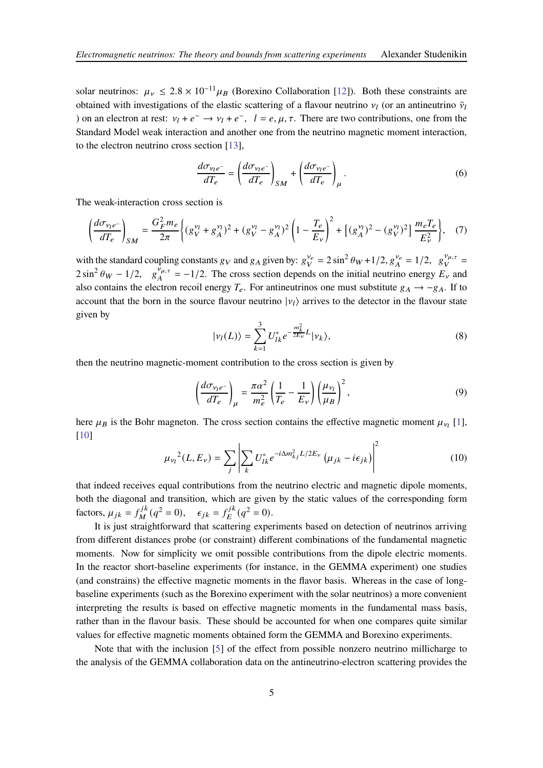solar neutrinos:  $\mu_{\nu} \leq 2.8 \times 10^{-11} \mu_B$  (Borexino Collaboration [\[12](#page-5-11)]). Both these constraints are obtained with investigations of the elastic scattering of a flavour neutrino  $v_l$  (or an antineutrino  $\bar{v}_l$ ) on an electron at rest:  $v_l + e^- \rightarrow v_l + e^-$ ,  $l = e, \mu, \tau$ . There are two contributions, one from the Standard Model weak interaction and another one from the neutrino magnetic moment interaction, to the electron neutrino cross section [\[13](#page-5-12)],

$$
\frac{d\sigma_{\nu_l e^-}}{dT_e} = \left(\frac{d\sigma_{\nu_l e^-}}{dT_e}\right)_{SM} + \left(\frac{d\sigma_{\nu_l e^-}}{dT_e}\right)_{\mu}.
$$
\n(6)

The weak-interaction cross section is

$$
\left(\frac{d\sigma_{\nu_l e^-}}{dT_e}\right)_{SM} = \frac{G_F^2 m_e}{2\pi} \left\{ (g_V^{\nu_l} + g_A^{\nu_l})^2 + (g_V^{\nu_l} - g_A^{\nu_l})^2 \left(1 - \frac{T_e}{E_\nu}\right)^2 + \left[ (g_A^{\nu_l})^2 - (g_V^{\nu_l})^2 \right] \frac{m_e T_e}{E_\nu^2} \right\}, \quad (7)
$$

with the standard coupling constants  $g_V$  and  $g_A$  given by:  $g_V^{\nu_e}$  $V_e = 2 \sin^2 \theta_W + 1/2$ ,  $g_A^{\nu_e}$  $\frac{v_e}{A} = 1/2, g_V^{\nu_{\mu,\tau}}$  $V^{\nu_{\mu,\tau}}=$  $2 \sin^2 \theta_W - 1/2$ ,  $g_A^{\overline{\nu}_{\mu,\tau}}$  $J_{A}^{\nu_{\mu,\tau}} = -1/2$ . The cross section depends on the initial neutrino energy  $E_{\nu}$  and also contains the electron recoil energy  $T_e$ . For antineutrinos one must substitute  $g_A \rightarrow -g_A$ . If to account that the born in the source flavour neutrino  $|\nu_l\rangle$  arrives to the detector in the flavour state given by

$$
|\nu_l(L)\rangle = \sum_{k=1}^3 U_{lk}^* e^{-\frac{m_k^2}{2E_\nu}L} |\nu_k\rangle,
$$
\n(8)

then the neutrino magnetic-moment contribution to the cross section is given by

$$
\left(\frac{d\sigma_{\nu_l e^-}}{dT_e}\right)_{\mu} = \frac{\pi \alpha^2}{m_e^2} \left(\frac{1}{T_e} - \frac{1}{E_{\nu}}\right) \left(\frac{\mu_{\nu_l}}{\mu_B}\right)^2,\tag{9}
$$

here  $\mu_B$  is the Bohr magneton. The cross section contains the effective magnetic moment  $\mu_{\nu_l}$  [\[1](#page-5-0)], [\[10\]](#page-5-9)

$$
\mu_{\nu_l}^2(L, E_{\nu}) = \sum_j \left| \sum_k U_{lk}^* e^{-i\Delta m_{kj}^2 L/2E_{\nu}} \left( \mu_{jk} - i\epsilon_{jk} \right) \right|^2 \tag{10}
$$

that indeed receives equal contributions from the neutrino electric and magnetic dipole moments, both the diagonal and transition, which are given by the static values of the corresponding form factors,  $\mu_{jk} = f_M^{jk}$  $\epsilon_{jk}^{jk}(q^2=0), \quad \epsilon_{jk} = f_E^{jk}$  $E^{jk}(q^2 = 0).$ 

It is just straightforward that scattering experiments based on detection of neutrinos arriving from different distances probe (or constraint) different combinations of the fundamental magnetic moments. Now for simplicity we omit possible contributions from the dipole electric moments. In the reactor short-baseline experiments (for instance, in the GEMMA experiment) one studies (and constrains) the effective magnetic moments in the flavor basis. Whereas in the case of longbaseline experiments (such as the Borexino experiment with the solar neutrinos) a more convenient interpreting the results is based on effective magnetic moments in the fundamental mass basis, rather than in the flavour basis. These should be accounted for when one compares quite similar values for effective magnetic moments obtained form the GEMMA and Borexino experiments.

Note that with the inclusion [\[5\]](#page-5-4) of the effect from possible nonzero neutrino millicharge to the analysis of the GEMMA collaboration data on the antineutrino-electron scattering provides the